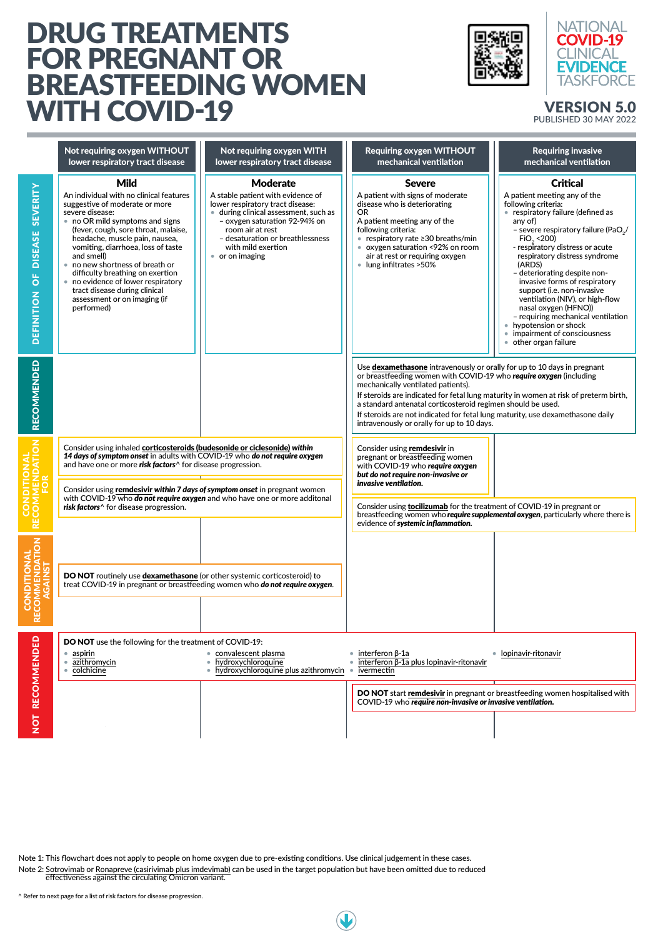## DRUG TREATMENTS FOR PREGNANT OR BREASTFEEDING WOMEN WITH COVID-19 VERSION 5.0





## PUBLISHED 30 MAY 2022



|                                                                              | Not requiring oxygen WITHOUT<br>lower respiratory tract disease                                                                                                                                                                                                                                                                                                                                                                                                          | Not requiring oxygen WITH<br>lower respiratory tract disease                                                                                                                                                                                                                    | <b>Requiring oxygen WITHOUT</b><br>mechanical ventilation                                                                                                                                                                                                                                                                                                                                                                                                                  | <b>Requiring invasive</b><br>mechanical ventilation                                                                                                                                                                                                                                                                                                                                                                                                                                                                                                                    |
|------------------------------------------------------------------------------|--------------------------------------------------------------------------------------------------------------------------------------------------------------------------------------------------------------------------------------------------------------------------------------------------------------------------------------------------------------------------------------------------------------------------------------------------------------------------|---------------------------------------------------------------------------------------------------------------------------------------------------------------------------------------------------------------------------------------------------------------------------------|----------------------------------------------------------------------------------------------------------------------------------------------------------------------------------------------------------------------------------------------------------------------------------------------------------------------------------------------------------------------------------------------------------------------------------------------------------------------------|------------------------------------------------------------------------------------------------------------------------------------------------------------------------------------------------------------------------------------------------------------------------------------------------------------------------------------------------------------------------------------------------------------------------------------------------------------------------------------------------------------------------------------------------------------------------|
| <b>SEVERITY</b><br><b>DISEASE</b><br>$\overline{\overline{o}}$<br>DEFINITION | <b>Mild</b><br>An individual with no clinical features<br>suggestive of moderate or more<br>severe disease:<br>• no OR mild symptoms and signs<br>(fever, cough, sore throat, malaise,<br>headache, muscle pain, nausea,<br>vomiting, diarrhoea, loss of taste<br>and smell)<br>• no new shortness of breath or<br>difficulty breathing on exertion<br>• no evidence of lower respiratory<br>tract disease during clinical<br>assessment or on imaging (if<br>performed) | <b>Moderate</b><br>A stable patient with evidence of<br>lower respiratory tract disease:<br>• during clinical assessment, such as<br>- oxygen saturation 92-94% on<br>room air at rest<br>- desaturation or breathlessness<br>with mild exertion<br>• or on imaging             | <b>Severe</b><br>A patient with signs of moderate<br>disease who is deteriorating<br><b>OR</b><br>A patient meeting any of the<br>following criteria:<br>● respiratory rate ≥30 breaths/min<br>• oxygen saturation <92% on room<br>air at rest or requiring oxygen<br>• lung infiltrates > 50%                                                                                                                                                                             | <b>Critical</b><br>A patient meeting any of the<br>following criteria:<br>• respiratory failure (defined as<br>any of)<br>- severe respiratory failure (PaO <sub>2</sub> /<br>FiO <sub>2</sub> < 200<br>- respiratory distress or acute<br>respiratory distress syndrome<br>(ARDS)<br>- deteriorating despite non-<br>invasive forms of respiratory<br>support (i.e. non-invasive<br>ventilation (NIV), or high-flow<br>nasal oxygen (HFNO))<br>- requiring mechanical ventilation<br>• hypotension or shock<br>• impairment of consciousness<br>• other organ failure |
| <b>RECOMMENDED</b>                                                           |                                                                                                                                                                                                                                                                                                                                                                                                                                                                          |                                                                                                                                                                                                                                                                                 | Use dexamethasone intravenously or orally for up to 10 days in pregnant<br>or breastfeeding women with COVID-19 who require oxygen (including<br>mechanically ventilated patients).<br>If steroids are indicated for fetal lung maturity in women at risk of preterm birth,<br>a standard antenatal corticosteroid regimen should be used.<br>If steroids are not indicated for fetal lung maturity, use dexamethasone daily<br>intravenously or orally for up to 10 days. |                                                                                                                                                                                                                                                                                                                                                                                                                                                                                                                                                                        |
| $\overline{6}$<br><b>CONDI<br/>RECOMM</b>                                    | Consider using inhaled corticosteroids (budesonide or ciclesonide) within<br>14 days of symptom onset in adults with COVID-19 who do not require oxygen<br>and have one or more risk factors^ for disease progression.                                                                                                                                                                                                                                                   |                                                                                                                                                                                                                                                                                 | Consider using remdesivir in<br>pregnant or breastfeeding women<br>with COVID-19 who require oxygen<br>but do not require non-invasive or<br>invasive ventilation.                                                                                                                                                                                                                                                                                                         |                                                                                                                                                                                                                                                                                                                                                                                                                                                                                                                                                                        |
|                                                                              | Consider using remdesivir within 7 days of symptom onset in pregnant women<br>with COVID-19 who do not require oxygen and who have one or more additonal<br>risk factors <sup>^</sup> for disease progression.                                                                                                                                                                                                                                                           |                                                                                                                                                                                                                                                                                 | Consider using <b>tocilizumab</b> for the treatment of COVID-19 in pregnant or<br>breastfeeding women who require supplemental oxygen, particularly where there is<br>evidence of systemic inflammation.                                                                                                                                                                                                                                                                   |                                                                                                                                                                                                                                                                                                                                                                                                                                                                                                                                                                        |
| <b>MMENDATION</b><br>AGAINST                                                 | DO NOT routinely use dexamethasone (or other systemic corticosteroid) to                                                                                                                                                                                                                                                                                                                                                                                                 |                                                                                                                                                                                                                                                                                 |                                                                                                                                                                                                                                                                                                                                                                                                                                                                            |                                                                                                                                                                                                                                                                                                                                                                                                                                                                                                                                                                        |
|                                                                              | treat COVID-19 in pregnant or breastfeeding women who do not require oxygen.                                                                                                                                                                                                                                                                                                                                                                                             |                                                                                                                                                                                                                                                                                 |                                                                                                                                                                                                                                                                                                                                                                                                                                                                            |                                                                                                                                                                                                                                                                                                                                                                                                                                                                                                                                                                        |
| <b>RECOMMENDED</b>                                                           | <b>DO NOT</b> use the following for the treatment of COVID-19:<br>• convalescent plasma<br>aspirin<br>hydroxychloroquine<br>azithromycin<br>colchicine<br>• hydroxychloroquine plus azithromycin                                                                                                                                                                                                                                                                         |                                                                                                                                                                                                                                                                                 | interferon β-1a<br>$interferon \beta$ -1a plus lopinavir-ritonavir<br>ivermectin                                                                                                                                                                                                                                                                                                                                                                                           | lopinavir-ritonavir                                                                                                                                                                                                                                                                                                                                                                                                                                                                                                                                                    |
| <b>NOT</b>                                                                   |                                                                                                                                                                                                                                                                                                                                                                                                                                                                          |                                                                                                                                                                                                                                                                                 | DO NOT start remdesivir in pregnant or breastfeeding women hospitalised with<br>COVID-19 who require non-invasive or invasive ventilation.                                                                                                                                                                                                                                                                                                                                 |                                                                                                                                                                                                                                                                                                                                                                                                                                                                                                                                                                        |
|                                                                              |                                                                                                                                                                                                                                                                                                                                                                                                                                                                          |                                                                                                                                                                                                                                                                                 |                                                                                                                                                                                                                                                                                                                                                                                                                                                                            |                                                                                                                                                                                                                                                                                                                                                                                                                                                                                                                                                                        |
|                                                                              |                                                                                                                                                                                                                                                                                                                                                                                                                                                                          |                                                                                                                                                                                                                                                                                 |                                                                                                                                                                                                                                                                                                                                                                                                                                                                            |                                                                                                                                                                                                                                                                                                                                                                                                                                                                                                                                                                        |
|                                                                              | effectiveness against the circulating Omicron variant.<br>^ Refer to next page for a list of risk factors for disease progression.                                                                                                                                                                                                                                                                                                                                       | Note 1: This flowchart does not apply to people on home oxygen due to pre-existing conditions. Use clinical judgement in these cases.<br>Note 2: Sotrovimab or Ronapreve (casirivimab plus imdevimab) can be used in the target population but have been omitted due to reduced |                                                                                                                                                                                                                                                                                                                                                                                                                                                                            |                                                                                                                                                                                                                                                                                                                                                                                                                                                                                                                                                                        |